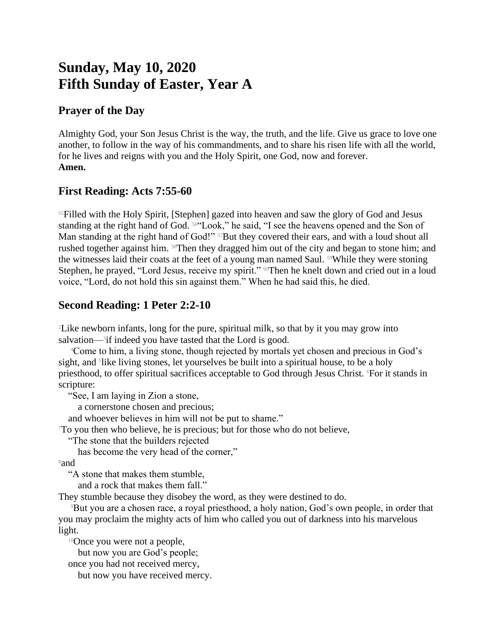# **Sunday, May 10, 2020 Fifth Sunday of Easter, Year A**

### **Prayer of the Day**

Almighty God, your Son Jesus Christ is the way, the truth, and the life. Give us grace to love one another, to follow in the way of his commandments, and to share his risen life with all the world, for he lives and reigns with you and the Holy Spirit, one God, now and forever. **Amen.**

#### **First Reading: Acts 7:55-60**

<sup>55</sup>Filled with the Holy Spirit, [Stephen] gazed into heaven and saw the glory of God and Jesus standing at the right hand of God. 56"Look," he said, "I see the heavens opened and the Son of Man standing at the right hand of God!" <sup>57</sup>But they covered their ears, and with a loud shout all rushed together against him. 58Then they dragged him out of the city and began to stone him; and the witnesses laid their coats at the feet of a young man named Saul. <sup>59</sup>While they were stoning Stephen, he prayed, "Lord Jesus, receive my spirit." <sup>60</sup>Then he knelt down and cried out in a loud voice, "Lord, do not hold this sin against them." When he had said this, he died.

## **Second Reading: 1 Peter 2:2-10**

<sup>2</sup>Like newborn infants, long for the pure, spiritual milk, so that by it you may grow into salvation—<sup>3</sup>if indeed you have tasted that the Lord is good.

<sup>4</sup>Come to him, a living stone, though rejected by mortals yet chosen and precious in God's sight, and <sup>5</sup>like living stones, let yourselves be built into a spiritual house, to be a holy priesthood, to offer spiritual sacrifices acceptable to God through Jesus Christ. <sup>6</sup>For it stands in scripture:

"See, I am laying in Zion a stone,

a cornerstone chosen and precious;

and whoever believes in him will not be put to shame."

<sup>7</sup>To you then who believe, he is precious; but for those who do not believe,

"The stone that the builders rejected

has become the very head of the corner,"

<sup>8</sup>and

"A stone that makes them stumble,

and a rock that makes them fall."

They stumble because they disobey the word, as they were destined to do.

<sup>9</sup>But you are a chosen race, a royal priesthood, a holy nation, God's own people, in order that you may proclaim the mighty acts of him who called you out of darkness into his marvelous light.

<sup>10</sup>Once you were not a people,

but now you are God's people;

once you had not received mercy,

but now you have received mercy.